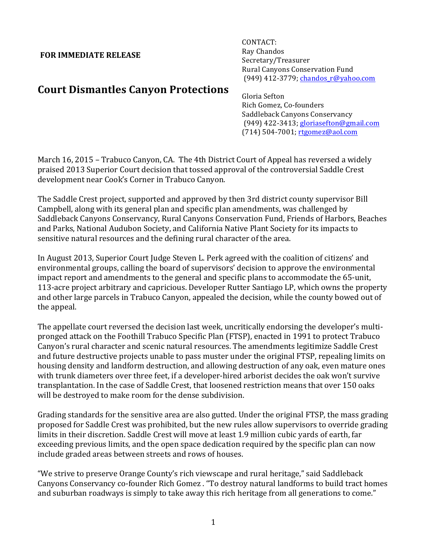## **FOR IMMEDIATE RELEASE**

CONTACT: Ray Chandos Secretary/Treasurer Rural Canyons Conservation Fund (949) 412-3779; chandos\_r@yahoo.com

## **Court Dismantles Canyon Protections**

Gloria Sefton Rich Gomez, Co-founders Saddleback Canyons Conservancy (949) 422-3413; gloriasefton@gmail.com (714) 504-7001; rtgomez@aol.com

March 16, 2015 – Trabuco Canyon, CA. The 4th District Court of Appeal has reversed a widely praised 2013 Superior Court decision that tossed approval of the controversial Saddle Crest development near Cook's Corner in Trabuco Canyon.

The Saddle Crest project, supported and approved by then 3rd district county supervisor Bill Campbell, along with its general plan and specific plan amendments, was challenged by Saddleback Canyons Conservancy, Rural Canyons Conservation Fund, Friends of Harbors, Beaches and Parks, National Audubon Society, and California Native Plant Society for its impacts to sensitive natural resources and the defining rural character of the area.

In August 2013, Superior Court Judge Steven L. Perk agreed with the coalition of citizens' and environmental groups, calling the board of supervisors' decision to approve the environmental impact report and amendments to the general and specific plans to accommodate the 65-unit, 113-acre project arbitrary and capricious. Developer Rutter Santiago LP, which owns the property and other large parcels in Trabuco Canyon, appealed the decision, while the county bowed out of the appeal.

The appellate court reversed the decision last week, uncritically endorsing the developer's multipronged attack on the Foothill Trabuco Specific Plan (FTSP), enacted in 1991 to protect Trabuco Canyon's rural character and scenic natural resources. The amendments legitimize Saddle Crest and future destructive projects unable to pass muster under the original FTSP, repealing limits on housing density and landform destruction, and allowing destruction of any oak, even mature ones with trunk diameters over three feet, if a developer-hired arborist decides the oak won't survive transplantation. In the case of Saddle Crest, that loosened restriction means that over 150 oaks will be destroyed to make room for the dense subdivision.

Grading standards for the sensitive area are also gutted. Under the original FTSP, the mass grading proposed for Saddle Crest was prohibited, but the new rules allow supervisors to override grading limits in their discretion. Saddle Crest will move at least 1.9 million cubic yards of earth, far exceeding previous limits, and the open space dedication required by the specific plan can now include graded areas between streets and rows of houses.

"We strive to preserve Orange County's rich viewscape and rural heritage," said Saddleback Canyons Conservancy co-founder Rich Gomez . "To destroy natural landforms to build tract homes and suburban roadways is simply to take away this rich heritage from all generations to come."